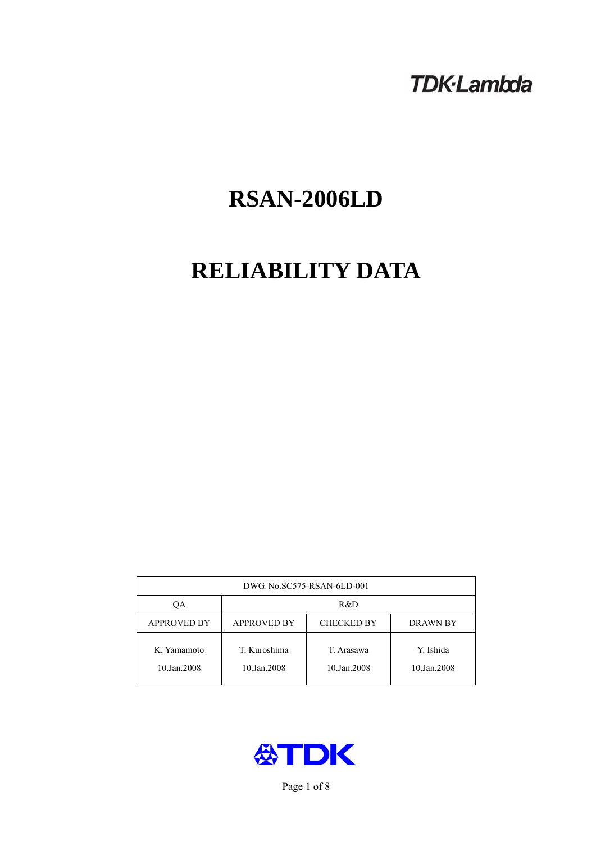## **TDK-Lambda**

# **RSAN-2006LD**

# **RELIABILITY DATA**

| DWG No.SC575-RSAN-6LD-001  |                                                     |                           |                          |  |  |
|----------------------------|-----------------------------------------------------|---------------------------|--------------------------|--|--|
| ОA                         | R&D                                                 |                           |                          |  |  |
| <b>APPROVED BY</b>         | <b>APPROVED BY</b><br><b>CHECKED BY</b><br>DRAWN BY |                           |                          |  |  |
| K. Yamamoto<br>10.Jan.2008 | T. Kuroshima<br>10.Jan.2008                         | T. Arasawa<br>10.Jan.2008 | Y. Ishida<br>10.Jan.2008 |  |  |



Page 1 of 8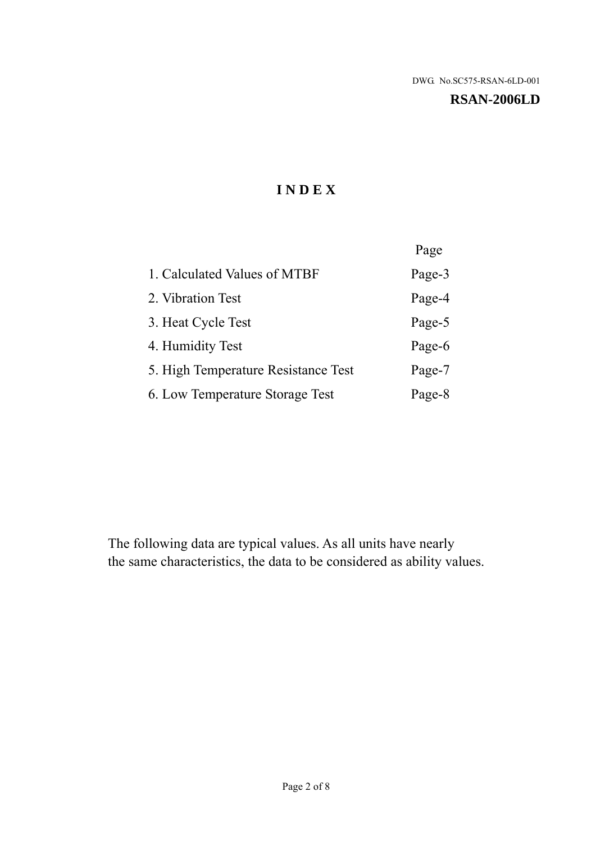#### **RSAN-2006LD**

## **I N D E X**

|                                     | Page   |
|-------------------------------------|--------|
| 1. Calculated Values of MTBF        | Page-3 |
| 2. Vibration Test                   | Page-4 |
| 3. Heat Cycle Test                  | Page-5 |
| 4. Humidity Test                    | Page-6 |
| 5. High Temperature Resistance Test | Page-7 |
| 6. Low Temperature Storage Test     | Page-8 |

The following data are typical values. As all units have nearly the same characteristics, the data to be considered as ability values.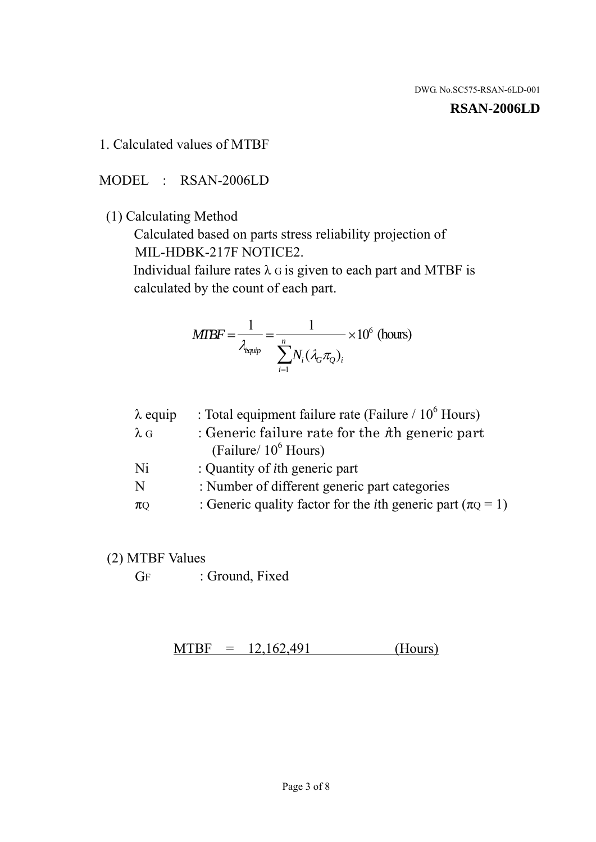**RSAN-2006LD** 

1. Calculated values of MTBF

MODEL : RSAN-2006LD

(1) Calculating Method

 Calculated based on parts stress reliability projection of MIL-HDBK-217F NOTICE2.

Individual failure rates  $\lambda$  G is given to each part and MTBF is calculated by the count of each part.

$$
MTBF = \frac{1}{\lambda_{\text{equip}}} = \frac{1}{\sum_{i=1}^{n} N_i (\lambda_G \pi_Q)_i} \times 10^6 \text{ (hours)}
$$

| $\lambda$ equip | : Total equipment failure rate (Failure / $10^6$ Hours)                   |
|-----------------|---------------------------------------------------------------------------|
| $\lambda$ G     | : Generic failure rate for the $\hbar$ generic part                       |
|                 | (Failure/ $10^6$ Hours)                                                   |
| Ni              | : Quantity of <i>i</i> th generic part                                    |
| N               | : Number of different generic part categories                             |
| $\pi Q$         | : Generic quality factor for the <i>i</i> th generic part ( $\pi Q = 1$ ) |
|                 |                                                                           |

- (2) MTBF Values
	- GF : Ground, Fixed

 $MTBF = 12,162,491$  (Hours)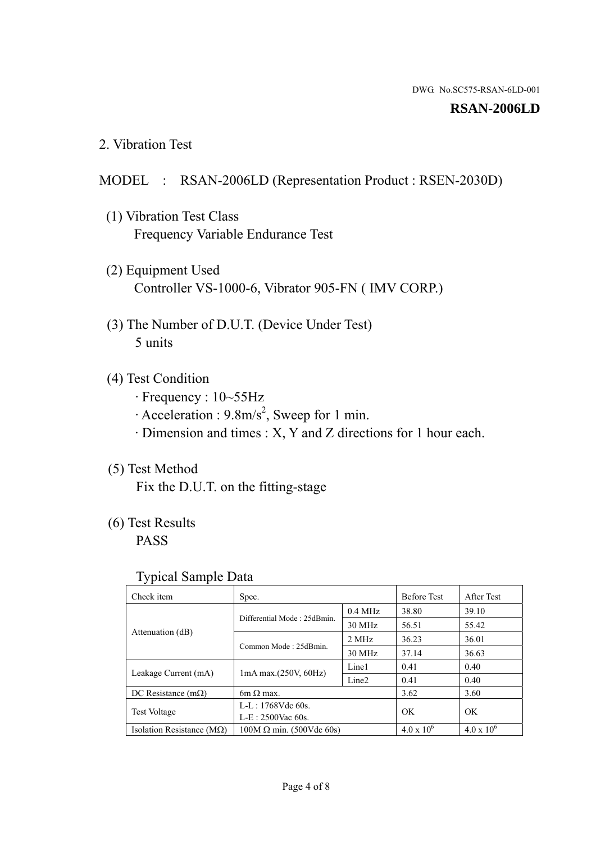#### **RSAN-2006LD**

2. Vibration Test

#### MODEL : RSAN-2006LD (Representation Product : RSEN-2030D)

- (1) Vibration Test Class Frequency Variable Endurance Test
- (2) Equipment Used Controller VS-1000-6, Vibrator 905-FN ( IMV CORP.)
- (3) The Number of D.U.T. (Device Under Test) 5 units
- (4) Test Condition
	- · Frequency : 10~55Hz
	- $\cdot$  Acceleration : 9.8m/s<sup>2</sup>, Sweep for 1 min.
	- · Dimension and times : X, Y and Z directions for 1 hour each.

### (5) Test Method

Fix the D.U.T. on the fitting-stage

## (6) Test Results

PASS

#### Typical Sample Data

| . .                           |                                 |                   |                     |                     |
|-------------------------------|---------------------------------|-------------------|---------------------|---------------------|
| Check item                    | Spec.                           |                   | <b>Before Test</b>  | After Test          |
| Attenuation (dB)              | Differential Mode: 25dBmin.     | $0.4$ MHz         | 38.80               | 39.10               |
|                               |                                 | 30 MHz            | 56.51               | 55.42               |
|                               | Common Mode: 25dBmin.           | 2 MHz             | 36.23               | 36.01               |
|                               |                                 | 30 MHz            | 37.14               | 36.63               |
| Leakage Current (mA)          | $1mA$ max. $(250V, 60Hz)$       | Line1             | 0.41                | 0.40                |
|                               |                                 | Line <sub>2</sub> | 0.41                | 0.40                |
| DC Resistance $(m\Omega)$     | $6m \Omega$ max.                |                   | 3.62                | 3.60                |
| <b>Test Voltage</b>           | $L-L: 1768Vdc$ 60s.             |                   | OK                  | OK.                 |
|                               | $L-E$ : 2500Vac 60s.            |                   |                     |                     |
| Isolation Resistance ( $MQ$ ) | $100M \Omega$ min. (500Vdc 60s) |                   | $4.0 \times 10^{6}$ | $4.0 \times 10^{6}$ |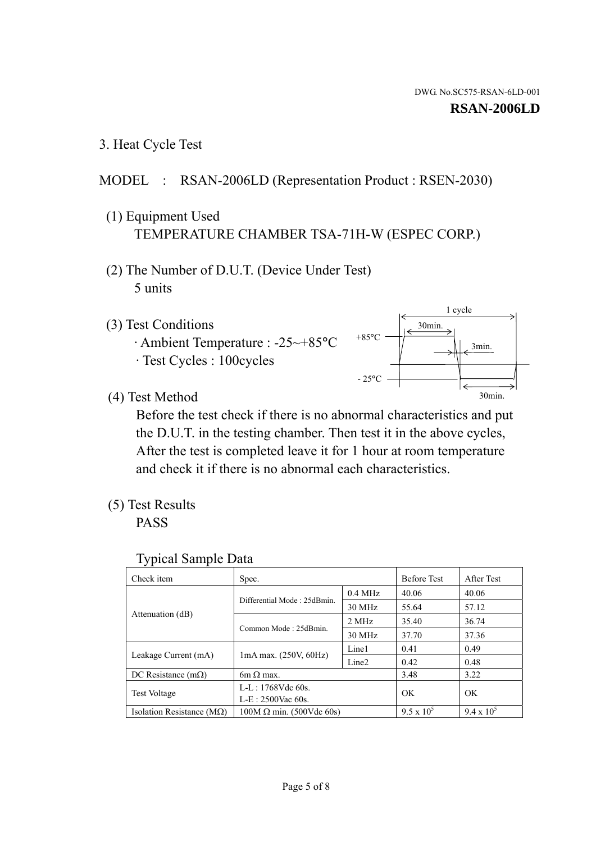1 cycle

30min.

3min.

30min.

3. Heat Cycle Test

## MODEL : RSAN-2006LD (Representation Product : RSEN-2030)

- (1) Equipment Used TEMPERATURE CHAMBER TSA-71H-W (ESPEC CORP.)
- (2) The Number of D.U.T. (Device Under Test) 5 units
- (3) Test Conditions
	- · Ambient Temperature : -25~+85°C · Test Cycles : 100cycles
- (4) Test Method

 Before the test check if there is no abnormal characteristics and put the D.U.T. in the testing chamber. Then test it in the above cycles, After the test is completed leave it for 1 hour at room temperature and check it if there is no abnormal each characteristics.

 $+85$ °C

 $-25$ °C

(5) Test Results

PASS

| <b>Typical Sample Data</b> |  |  |
|----------------------------|--|--|
|----------------------------|--|--|

| Check item                         | Spec.                           |                   | <b>Before Test</b> | After Test        |
|------------------------------------|---------------------------------|-------------------|--------------------|-------------------|
|                                    | Differential Mode: 25dBmin.     | $0.4$ MHz         | 40.06              | 40.06             |
|                                    |                                 | 30 MHz            | 55.64              | 57.12             |
| Attenuation (dB)                   | Common Mode: 25dBmin.           | 2 MHz             | 35.40              | 36.74             |
|                                    |                                 | 30 MHz            | 37.70              | 37.36             |
| Leakage Current (mA)               | $1mA$ max. $(250V, 60Hz)$       | Line1             | 0.41               | 0.49              |
|                                    |                                 | Line <sub>2</sub> | 0.42               | 0.48              |
| DC Resistance $(m\Omega)$          | 6m $\Omega$ max.                |                   | 3.48               | 3.22              |
| <b>Test Voltage</b>                | $L-L: 1768Vdc$ 60s.             |                   | OK                 | OK                |
|                                    | $L-E: 2500$ Vac 60s.            |                   |                    |                   |
| Isolation Resistance ( $M\Omega$ ) | $100M \Omega$ min. (500Vdc 60s) |                   | $9.5 \times 10^5$  | $9.4 \times 10^5$ |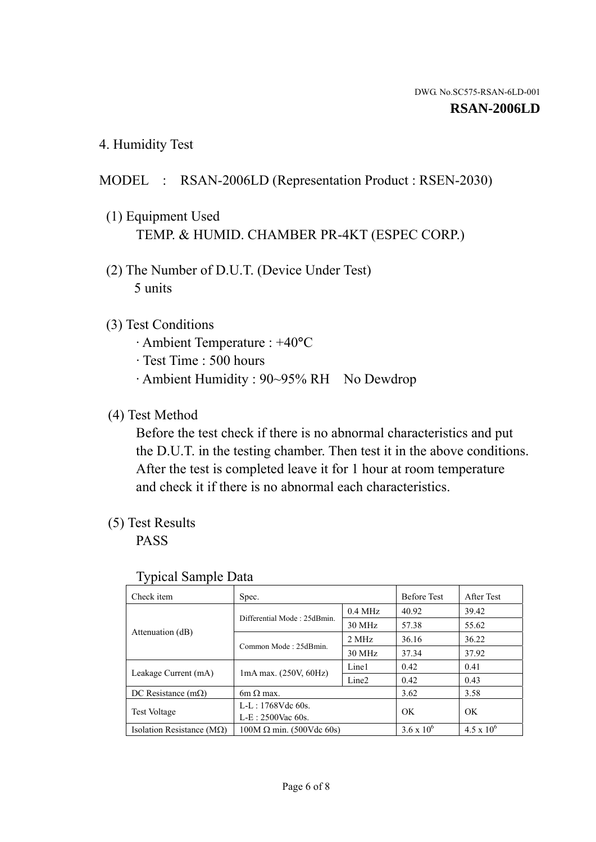4. Humidity Test

### MODEL : RSAN-2006LD (Representation Product : RSEN-2030)

- (1) Equipment Used TEMP. & HUMID. CHAMBER PR-4KT (ESPEC CORP.)
- (2) The Number of D.U.T. (Device Under Test) 5 units

### (3) Test Conditions

- · Ambient Temperature : +40°C
- · Test Time : 500 hours
- · Ambient Humidity : 90~95% RH No Dewdrop

### (4) Test Method

 Before the test check if there is no abnormal characteristics and put the D.U.T. in the testing chamber. Then test it in the above conditions. After the test is completed leave it for 1 hour at room temperature and check it if there is no abnormal each characteristics.

### (5) Test Results

PASS

| . .                                |                                 |                   |                     |                     |
|------------------------------------|---------------------------------|-------------------|---------------------|---------------------|
| Check item                         | Spec.                           |                   | <b>Before Test</b>  | After Test          |
| Attenuation (dB)                   | Differential Mode: 25dBmin.     | $0.4$ MHz         | 40.92               | 39.42               |
|                                    |                                 | 30 MHz            | 57.38               | 55.62               |
|                                    | Common Mode: 25dBmin.           | 2 MHz             | 36.16               | 36.22               |
|                                    |                                 | 30 MHz            | 37.34               | 37.92               |
| Leakage Current (mA)               | $1mA$ max. $(250V, 60Hz)$       | Line1             | 0.42                | 0.41                |
|                                    |                                 | Line <sub>2</sub> | 0.42                | 0.43                |
| DC Resistance (m $\Omega$ )        | $6m \Omega$ max.                |                   | 3.62                | 3.58                |
| <b>Test Voltage</b>                | $L-L: 1768Vdc$ 60s.             |                   | OK                  |                     |
|                                    | $L-E$ : 2500Vac 60s.            |                   |                     | OK.                 |
| Isolation Resistance ( $M\Omega$ ) | $100M \Omega$ min. (500Vdc 60s) |                   | $3.6 \times 10^{6}$ | $4.5 \times 10^{6}$ |

#### Typical Sample Data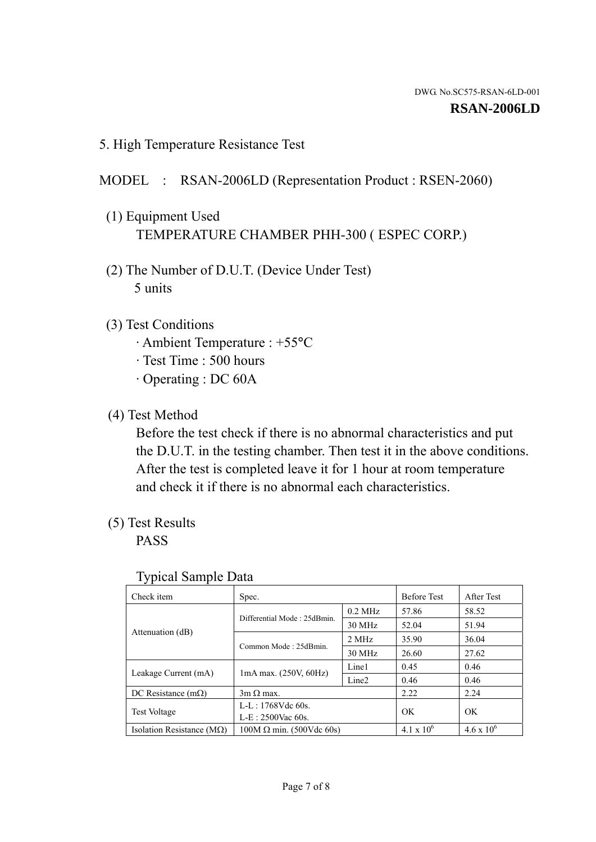5. High Temperature Resistance Test

## MODEL : RSAN-2006LD (Representation Product : RSEN-2060)

- (1) Equipment Used TEMPERATURE CHAMBER PHH-300 ( ESPEC CORP.)
- (2) The Number of D.U.T. (Device Under Test) 5 units
- (3) Test Conditions
	- · Ambient Temperature : +55°C
	- · Test Time : 500 hours
	- · Operating : DC 60A
- (4) Test Method

 Before the test check if there is no abnormal characteristics and put the D.U.T. in the testing chamber. Then test it in the above conditions. After the test is completed leave it for 1 hour at room temperature and check it if there is no abnormal each characteristics.

(5) Test Results

PASS

| J 1                                |                                 |                   |                     |                     |
|------------------------------------|---------------------------------|-------------------|---------------------|---------------------|
| Check item                         | Spec.                           |                   | <b>Before Test</b>  | After Test          |
|                                    | Differential Mode: 25dBmin.     | $0.2$ MHz         | 57.86               | 58.52               |
|                                    |                                 | 30 MHz            | 52.04               | 51.94               |
| Attenuation (dB)                   | Common Mode: 25dBmin.           | 2 MHz             | 35.90               | 36.04               |
|                                    |                                 | 30 MHz            | 26.60               | 27.62               |
| Leakage Current (mA)               | $1mA$ max. $(250V, 60Hz)$       | Line1             | 0.45                | 0.46                |
|                                    |                                 | Line <sub>2</sub> | 0.46                | 0.46                |
| DC Resistance $(m\Omega)$          | $3m \Omega$ max.                |                   | 2.22                | 2.24                |
| <b>Test Voltage</b>                | $L-L: 1768Vdc$ 60s.             |                   | OK                  | OK                  |
|                                    | $L-E: 2500$ Vac 60s.            |                   |                     |                     |
| Isolation Resistance ( $M\Omega$ ) | $100M \Omega$ min. (500Vdc 60s) |                   | $4.1 \times 10^{6}$ | $4.6 \times 10^{6}$ |

#### Typical Sample Data